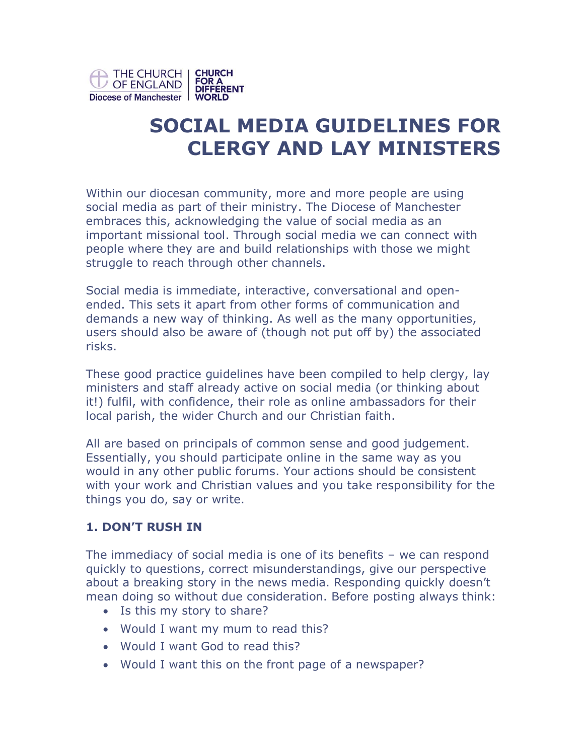

# **SOCIAL MEDIA GUIDELINES FOR CLERGY AND LAY MINISTERS**

Within our diocesan community, more and more people are using social media as part of their ministry. The Diocese of Manchester embraces this, acknowledging the value of social media as an important missional tool. Through social media we can connect with people where they are and build relationships with those we might struggle to reach through other channels.

Social media is immediate, interactive, conversational and openended. This sets it apart from other forms of communication and demands a new way of thinking. As well as the many opportunities, users should also be aware of (though not put off by) the associated risks.

These good practice guidelines have been compiled to help clergy, lay ministers and staff already active on social media (or thinking about it!) fulfil, with confidence, their role as online ambassadors for their local parish, the wider Church and our Christian faith.

All are based on principals of common sense and good judgement. Essentially, you should participate online in the same way as you would in any other public forums. Your actions should be consistent with your work and Christian values and you take responsibility for the things you do, say or write.

#### **1. DON'T RUSH IN**

The immediacy of social media is one of its benefits – we can respond quickly to questions, correct misunderstandings, give our perspective about a breaking story in the news media. Responding quickly doesn't mean doing so without due consideration. Before posting always think:

- Is this my story to share?
- Would I want my mum to read this?
- Would I want God to read this?
- Would I want this on the front page of a newspaper?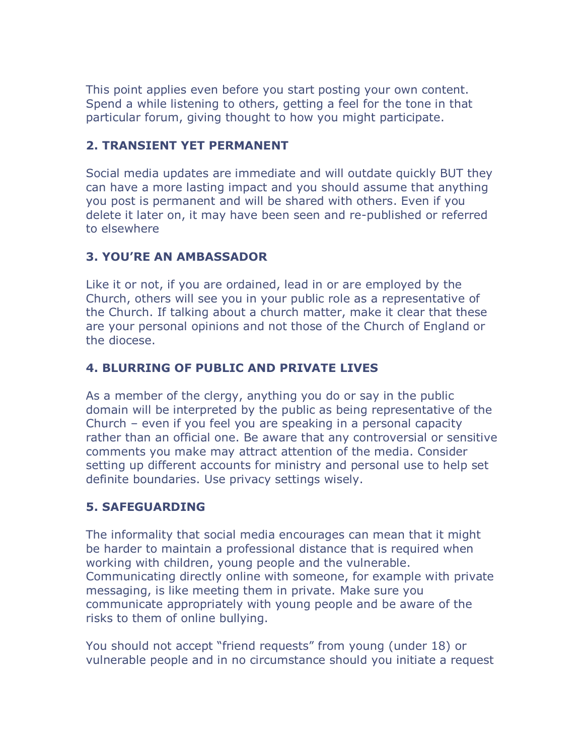This point applies even before you start posting your own content. Spend a while listening to others, getting a feel for the tone in that particular forum, giving thought to how you might participate.

#### **2. TRANSIENT YET PERMANENT**

Social media updates are immediate and will outdate quickly BUT they can have a more lasting impact and you should assume that anything you post is permanent and will be shared with others. Even if you delete it later on, it may have been seen and re-published or referred to elsewhere

# **3. YOU'RE AN AMBASSADOR**

Like it or not, if you are ordained, lead in or are employed by the Church, others will see you in your public role as a representative of the Church. If talking about a church matter, make it clear that these are your personal opinions and not those of the Church of England or the diocese.

# **4. BLURRING OF PUBLIC AND PRIVATE LIVES**

As a member of the clergy, anything you do or say in the public domain will be interpreted by the public as being representative of the Church – even if you feel you are speaking in a personal capacity rather than an official one. Be aware that any controversial or sensitive comments you make may attract attention of the media. Consider setting up different accounts for ministry and personal use to help set definite boundaries. Use privacy settings wisely.

# **5. SAFEGUARDING**

The informality that social media encourages can mean that it might be harder to maintain a professional distance that is required when working with children, young people and the vulnerable. Communicating directly online with someone, for example with private messaging, is like meeting them in private. Make sure you communicate appropriately with young people and be aware of the risks to them of online bullying.

You should not accept "friend requests" from young (under 18) or vulnerable people and in no circumstance should you initiate a request